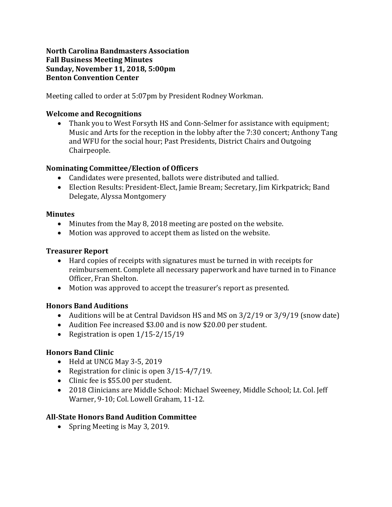### **North Carolina Bandmasters Association Fall Business Meeting Minutes Sunday, November 11, 2018, 5:00pm Benton Convention Center**

Meeting called to order at 5:07pm by President Rodney Workman.

### **Welcome and Recognitions**

• Thank you to West Forsyth HS and Conn-Selmer for assistance with equipment; Music and Arts for the reception in the lobby after the 7:30 concert; Anthony Tang and WFU for the social hour; Past Presidents, District Chairs and Outgoing Chairpeople. 

### **Nominating Committee/Election of Officers**

- Candidates were presented, ballots were distributed and tallied.
- Election Results: President-Elect, Jamie Bream; Secretary, Jim Kirkpatrick; Band Delegate, Alyssa Montgomery

### **Minutes**

- Minutes from the May 8, 2018 meeting are posted on the website.
- Motion was approved to accept them as listed on the website.

## **Treasurer Report**

- Hard copies of receipts with signatures must be turned in with receipts for reimbursement. Complete all necessary paperwork and have turned in to Finance Officer, Fran Shelton.
- Motion was approved to accept the treasurer's report as presented.

# **Honors Band Auditions**

- Auditions will be at Central Davidson HS and MS on  $3/2/19$  or  $3/9/19$  (snow date)
- Audition Fee increased \$3.00 and is now \$20.00 per student.
- Registration is open  $1/15-2/15/19$

# **Honors Band Clinic**

- Held at UNCG May 3-5, 2019
- Registration for clinic is open  $3/15-4/7/19$ .
- Clinic fee is \$55.00 per student.
- 2018 Clinicians are Middle School: Michael Sweeney, Middle School; Lt. Col. Jeff Warner, 9-10; Col. Lowell Graham, 11-12.

# **All-State Honors Band Audition Committee**

• Spring Meeting is May 3, 2019.